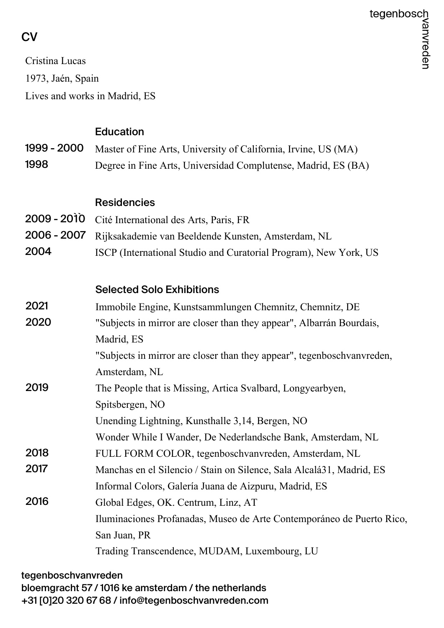## **CV**

Cristina Lucas 1973, Jaén, Spain Lives and works in Madrid, ES

|               | <b>Education</b>                                                       |
|---------------|------------------------------------------------------------------------|
| 1999 - 2000   | Master of Fine Arts, University of California, Irvine, US (MA)         |
| 1998          | Degree in Fine Arts, Universidad Complutense, Madrid, ES (BA)          |
|               |                                                                        |
|               | <b>Residencies</b>                                                     |
| $2009 - 2010$ | Cité International des Arts, Paris, FR                                 |
| 2006 - 2007   | Rijksakademie van Beeldende Kunsten, Amsterdam, NL                     |
| 2004          | ISCP (International Studio and Curatorial Program), New York, US       |
|               |                                                                        |
|               | <b>Selected Solo Exhibitions</b>                                       |
| 2021          | Immobile Engine, Kunstsammlungen Chemnitz, Chemnitz, DE                |
| 2020          | "Subjects in mirror are closer than they appear", Albarrán Bourdais,   |
|               | Madrid, ES                                                             |
|               | "Subjects in mirror are closer than they appear", tegenboschvanvreden, |
|               | Amsterdam, NL                                                          |
| 2019          | The People that is Missing, Artica Svalbard, Longyearbyen,             |
|               | Spitsbergen, NO                                                        |
|               | Unending Lightning, Kunsthalle 3,14, Bergen, NO                        |
|               | Wonder While I Wander, De Nederlandsche Bank, Amsterdam, NL            |
| 2018          | FULL FORM COLOR, tegenboschvanvreden, Amsterdam, NL                    |
| 2017          | Manchas en el Silencio / Stain on Silence, Sala Alcalá31, Madrid, ES   |
|               | Informal Colors, Galería Juana de Aizpuru, Madrid, ES                  |
| 2016          | Global Edges, OK. Centrum, Linz, AT                                    |
|               | Iluminaciones Profanadas, Museo de Arte Contemporáneo de Puerto Rico,  |
|               | San Juan, PR                                                           |
|               | Trading Transcendence, MUDAM, Luxembourg, LU                           |

tegenboschvanvreden bloemgracht 57 / 1016 ke amsterdam / the netherlands +31 [0]20 320 67 68 / info@tegenboschvanvreden.com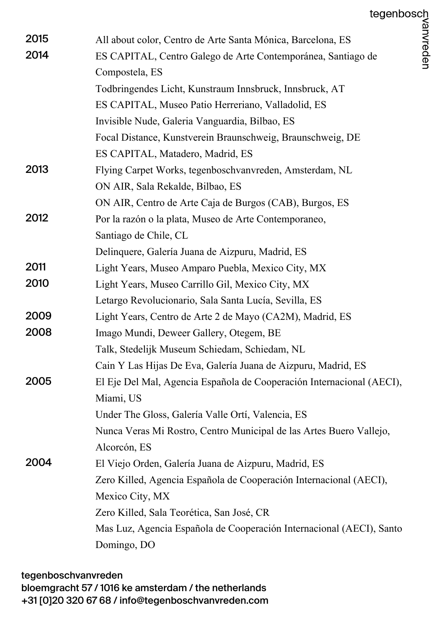| 2015 | All about color, Centro de Arte Santa Mónica, Barcelona, ES           |
|------|-----------------------------------------------------------------------|
| 2014 | ES CAPITAL, Centro Galego de Arte Contemporánea, Santiago de          |
|      | Compostela, ES                                                        |
|      | Todbringendes Licht, Kunstraum Innsbruck, Innsbruck, AT               |
|      | ES CAPITAL, Museo Patio Herreriano, Valladolid, ES                    |
|      | Invisible Nude, Galeria Vanguardia, Bilbao, ES                        |
|      | Focal Distance, Kunstverein Braunschweig, Braunschweig, DE            |
|      | ES CAPITAL, Matadero, Madrid, ES                                      |
| 2013 | Flying Carpet Works, tegenboschvanvreden, Amsterdam, NL               |
|      | ON AIR, Sala Rekalde, Bilbao, ES                                      |
|      | ON AIR, Centro de Arte Caja de Burgos (CAB), Burgos, ES               |
| 2012 | Por la razón o la plata, Museo de Arte Contemporaneo,                 |
|      | Santiago de Chile, CL                                                 |
|      | Delinquere, Galería Juana de Aizpuru, Madrid, ES                      |
| 2011 | Light Years, Museo Amparo Puebla, Mexico City, MX                     |
| 2010 | Light Years, Museo Carrillo Gil, Mexico City, MX                      |
|      | Letargo Revolucionario, Sala Santa Lucía, Sevilla, ES                 |
| 2009 | Light Years, Centro de Arte 2 de Mayo (CA2M), Madrid, ES              |
| 2008 | Imago Mundi, Deweer Gallery, Otegem, BE                               |
|      | Talk, Stedelijk Museum Schiedam, Schiedam, NL                         |
|      | Cain Y Las Hijas De Eva, Galería Juana de Aizpuru, Madrid, ES         |
| 2005 | El Eje Del Mal, Agencia Española de Cooperación Internacional (AECI), |
|      | Miami, US                                                             |
|      | Under The Gloss, Galería Valle Ortí, Valencia, ES                     |
|      | Nunca Veras Mi Rostro, Centro Municipal de las Artes Buero Vallejo,   |
|      | Alcorcón, ES                                                          |
| 2004 | El Viejo Orden, Galería Juana de Aizpuru, Madrid, ES                  |
|      | Zero Killed, Agencia Española de Cooperación Internacional (AECI),    |
|      | Mexico City, MX                                                       |
|      | Zero Killed, Sala Teorética, San José, CR                             |
|      | Mas Luz, Agencia Española de Cooperación Internacional (AECI), Santo  |
|      | Domingo, DO                                                           |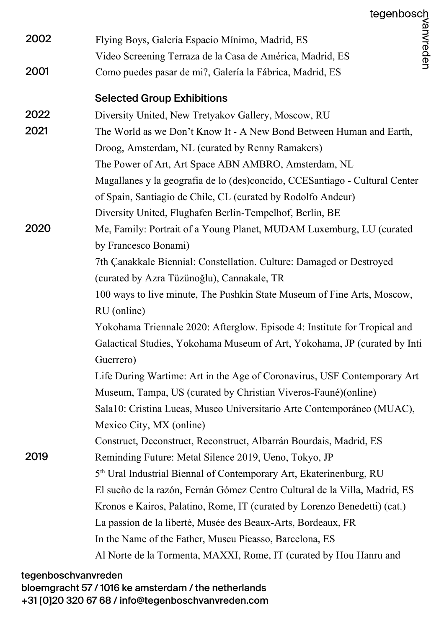| 2002 | Flying Boys, Galería Espacio Mínimo, Madrid, ES                                        |  |
|------|----------------------------------------------------------------------------------------|--|
|      | Video Screening Terraza de la Casa de América, Madrid, ES                              |  |
| 2001 | Como puedes pasar de mi?, Galería la Fábrica, Madrid, ES                               |  |
|      | <b>Selected Group Exhibitions</b>                                                      |  |
| 2022 | Diversity United, New Tretyakov Gallery, Moscow, RU                                    |  |
| 2021 | The World as we Don't Know It - A New Bond Between Human and Earth,                    |  |
|      | Droog, Amsterdam, NL (curated by Renny Ramakers)                                       |  |
|      | The Power of Art, Art Space ABN AMBRO, Amsterdam, NL                                   |  |
|      | Magallanes y la geografia de lo (des)concido, CCESantiago - Cultural Center            |  |
|      | of Spain, Santiagio de Chile, CL (curated by Rodolfo Andeur)                           |  |
|      | Diversity United, Flughafen Berlin-Tempelhof, Berlin, BE                               |  |
| 2020 | Me, Family: Portrait of a Young Planet, MUDAM Luxemburg, LU (curated                   |  |
|      | by Francesco Bonami)                                                                   |  |
|      | 7th Çanakkale Biennial: Constellation. Culture: Damaged or Destroyed                   |  |
|      | (curated by Azra Tüzünoğlu), Cannakale, TR                                             |  |
|      | 100 ways to live minute, The Pushkin State Museum of Fine Arts, Moscow,                |  |
|      | RU (online)                                                                            |  |
|      | Yokohama Triennale 2020: Afterglow. Episode 4: Institute for Tropical and              |  |
|      | Galactical Studies, Yokohama Museum of Art, Yokohama, JP (curated by Inti<br>Guerrero) |  |
|      | Life During Wartime: Art in the Age of Coronavirus, USF Contemporary Art               |  |
|      | Museum, Tampa, US (curated by Christian Viveros-Fauné)(online)                         |  |
|      | Sala10: Cristina Lucas, Museo Universitario Arte Contemporáneo (MUAC),                 |  |
|      | Mexico City, MX (online)                                                               |  |
|      | Construct, Deconstruct, Reconstruct, Albarrán Bourdais, Madrid, ES                     |  |
| 2019 | Reminding Future: Metal Silence 2019, Ueno, Tokyo, JP                                  |  |
|      | 5 <sup>th</sup> Ural Industrial Biennal of Contemporary Art, Ekaterinenburg, RU        |  |
|      | El sueño de la razón, Fernán Gómez Centro Cultural de la Villa, Madrid, ES             |  |
|      | Kronos e Kairos, Palatino, Rome, IT (curated by Lorenzo Benedetti) (cat.)              |  |
|      | La passion de la liberté, Musée des Beaux-Arts, Bordeaux, FR                           |  |
|      | In the Name of the Father, Museu Picasso, Barcelona, ES                                |  |
|      | Al Norte de la Tormenta, MAXXI, Rome, IT (curated by Hou Hanru and                     |  |
|      |                                                                                        |  |

## tegenboschvanvreden bloemgracht 57 / 1016 ke amsterdam / the netherlands +31 [0]20 320 67 68 / info@tegenboschvanvreden.com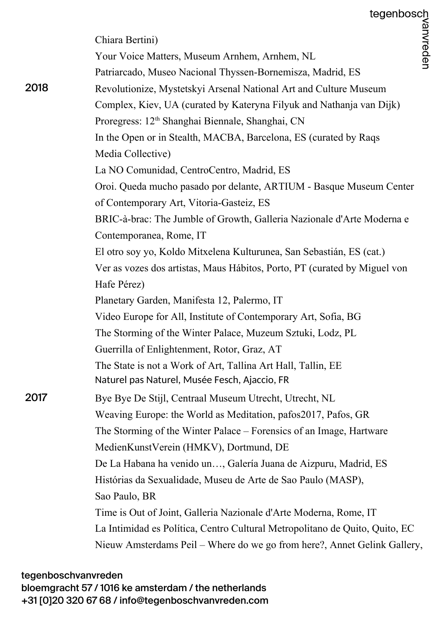|      | Chiara Bertini)                                                             |  |
|------|-----------------------------------------------------------------------------|--|
|      | Your Voice Matters, Museum Arnhem, Arnhem, NL                               |  |
|      | Patriarcado, Museo Nacional Thyssen-Bornemisza, Madrid, ES                  |  |
| 2018 | Revolutionize, Mystetskyi Arsenal National Art and Culture Museum           |  |
|      | Complex, Kiev, UA (curated by Kateryna Filyuk and Nathanja van Dijk)        |  |
|      | Proregress: 12 <sup>th</sup> Shanghai Biennale, Shanghai, CN                |  |
|      | In the Open or in Stealth, MACBA, Barcelona, ES (curated by Raqs)           |  |
|      | Media Collective)                                                           |  |
|      | La NO Comunidad, CentroCentro, Madrid, ES                                   |  |
|      | Oroi. Queda mucho pasado por delante, ARTIUM - Basque Museum Center         |  |
|      | of Contemporary Art, Vitoria-Gasteiz, ES                                    |  |
|      | BRIC-à-brac: The Jumble of Growth, Galleria Nazionale d'Arte Moderna e      |  |
|      | Contemporanea, Rome, IT                                                     |  |
|      | El otro soy yo, Koldo Mitxelena Kulturunea, San Sebastián, ES (cat.)        |  |
|      | Ver as vozes dos artistas, Maus Hábitos, Porto, PT (curated by Miguel von   |  |
|      | Hafe Pérez)                                                                 |  |
|      | Planetary Garden, Manifesta 12, Palermo, IT                                 |  |
|      | Video Europe for All, Institute of Contemporary Art, Sofia, BG              |  |
|      | The Storming of the Winter Palace, Muzeum Sztuki, Lodz, PL                  |  |
|      | Guerrilla of Enlightenment, Rotor, Graz, AT                                 |  |
|      | The State is not a Work of Art, Tallina Art Hall, Tallin, EE                |  |
|      | Naturel pas Naturel, Musée Fesch, Ajaccio, FR                               |  |
| 2017 | Bye Bye De Stijl, Centraal Museum Utrecht, Utrecht, NL                      |  |
|      | Weaving Europe: the World as Meditation, pafos2017, Pafos, GR               |  |
|      | The Storming of the Winter Palace – Forensics of an Image, Hartware         |  |
|      | MedienKunstVerein (HMKV), Dortmund, DE                                      |  |
|      | De La Habana ha venido un, Galería Juana de Aizpuru, Madrid, ES             |  |
|      | Histórias da Sexualidade, Museu de Arte de Sao Paulo (MASP),                |  |
|      | Sao Paulo, BR                                                               |  |
|      | Time is Out of Joint, Galleria Nazionale d'Arte Moderna, Rome, IT           |  |
|      | La Intimidad es Política, Centro Cultural Metropolitano de Quito, Quito, EC |  |
|      | Nieuw Amsterdams Peil – Where do we go from here?, Annet Gelink Gallery,    |  |

## tegenboschvanvreden bloemgracht 57 / 1016 ke amsterdam / the netherlands +31 [0]20 320 67 68 / info@tegenboschvanvreden.com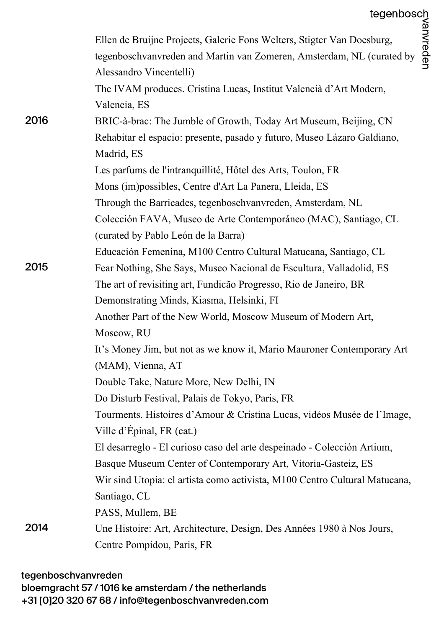|      | tegenbosch<br>sburg,<br>(curated by $\frac{2}{9}$<br>$\frac{2}{9}$<br>Ellen de Bruijne Projects, Galerie Fons Welters, Stigter Van Doesburg, |
|------|----------------------------------------------------------------------------------------------------------------------------------------------|
|      | tegenboschvanvreden and Martin van Zomeren, Amsterdam, NL (curated by<br>Alessandro Vincentelli)                                             |
|      | The IVAM produces. Cristina Lucas, Institut Valencià d'Art Modern,                                                                           |
|      | Valencia, ES                                                                                                                                 |
| 2016 | BRIC-à-brac: The Jumble of Growth, Today Art Museum, Beijing, CN                                                                             |
|      | Rehabitar el espacio: presente, pasado y futuro, Museo Lázaro Galdiano,<br>Madrid, ES                                                        |
|      | Les parfums de l'intranquillité, Hôtel des Arts, Toulon, FR                                                                                  |
|      | Mons (im) possibles, Centre d'Art La Panera, Lleida, ES                                                                                      |
|      | Through the Barricades, tegenboschvanvreden, Amsterdam, NL                                                                                   |
|      | Colección FAVA, Museo de Arte Contemporáneo (MAC), Santiago, CL                                                                              |
|      | (curated by Pablo León de la Barra)                                                                                                          |
|      | Educación Femenina, M100 Centro Cultural Matucana, Santiago, CL                                                                              |
| 2015 | Fear Nothing, She Says, Museo Nacional de Escultura, Valladolid, ES                                                                          |
|      | The art of revisiting art, Fundição Progresso, Rio de Janeiro, BR                                                                            |
|      | Demonstrating Minds, Kiasma, Helsinki, FI                                                                                                    |
|      | Another Part of the New World, Moscow Museum of Modern Art,                                                                                  |
|      | Moscow, RU                                                                                                                                   |
|      | It's Money Jim, but not as we know it, Mario Mauroner Contemporary Art                                                                       |
|      | (MAM), Vienna, AT                                                                                                                            |
|      | Double Take, Nature More, New Delhi, IN                                                                                                      |
|      | Do Disturb Festival, Palais de Tokyo, Paris, FR                                                                                              |
|      | Tourments. Histoires d'Amour & Cristina Lucas, vidéos Musée de l'Image,                                                                      |
|      | Ville d'Épinal, FR (cat.)                                                                                                                    |
|      | El desarreglo - El curioso caso del arte despeinado - Colección Artium,                                                                      |
|      | Basque Museum Center of Contemporary Art, Vitoria-Gasteiz, ES                                                                                |
|      | Wir sind Utopia: el artista como activista, M100 Centro Cultural Matucana,                                                                   |
|      | Santiago, CL                                                                                                                                 |
|      | PASS, Mullem, BE                                                                                                                             |
| 2014 | Une Histoire: Art, Architecture, Design, Des Années 1980 à Nos Jours,                                                                        |
|      | Centre Pompidou, Paris, FR                                                                                                                   |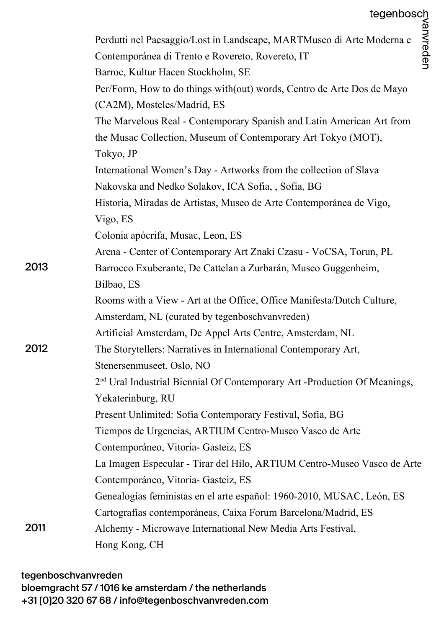|      | tegenbosch<br>$\frac{32}{2}$<br>Moderna e<br>$\frac{32}{2}$<br>$\frac{32}{2}$         |  |
|------|---------------------------------------------------------------------------------------|--|
|      | Perdutti nel Paesaggio/Lost in Landscape, MARTMuseo di Arte Moderna e                 |  |
|      | Contemporánea di Trento e Rovereto, Rovereto, IT                                      |  |
|      | Barroc, Kultur Hacen Stockholm, SE                                                    |  |
|      | Per/Form, How to do things with (out) words, Centro de Arte Dos de Mayo               |  |
|      | (CA2M), Mosteles/Madrid, ES                                                           |  |
|      | The Marvelous Real - Contemporary Spanish and Latin American Art from                 |  |
|      | the Musac Collection, Museum of Contemporary Art Tokyo (MOT),                         |  |
|      | Tokyo, JP                                                                             |  |
|      | International Women's Day - Artworks from the collection of Slava                     |  |
|      | Nakovska and Nedko Solakov, ICA Sofia, , Sofia, BG                                    |  |
|      | Historia, Miradas de Artistas, Museo de Arte Contemporánea de Vigo,                   |  |
|      | Vigo, ES                                                                              |  |
|      | Colonia apócrifa, Musac, Leon, ES                                                     |  |
|      | Arena - Center of Contemporary Art Znaki Czasu - VoCSA, Torun, PL                     |  |
| 2013 | Barrocco Exuberante, De Cattelan a Zurbarán, Museo Guggenheim,                        |  |
|      | Bilbao, ES                                                                            |  |
|      | Rooms with a View - Art at the Office, Office Manifesta/Dutch Culture,                |  |
|      | Amsterdam, NL (curated by tegenboschvanvreden)                                        |  |
|      | Artificial Amsterdam, De Appel Arts Centre, Amsterdam, NL                             |  |
| 2012 | The Storytellers: Narratives in International Contemporary Art,                       |  |
|      | Stenersenmuseet, Oslo, NO                                                             |  |
|      | 2 <sup>nd</sup> Ural Industrial Biennial Of Contemporary Art -Production Of Meanings, |  |
|      | Yekaterinburg, RU                                                                     |  |
|      | Present Unlimited: Sofia Contemporary Festival, Sofia, BG                             |  |
|      | Tiempos de Urgencias, ARTIUM Centro-Museo Vasco de Arte                               |  |
|      | Contemporáneo, Vitoria- Gasteiz, ES                                                   |  |
|      | La Imagen Especular - Tirar del Hilo, ARTIUM Centro-Museo Vasco de Arte               |  |
|      | Contemporáneo, Vitoria- Gasteiz, ES                                                   |  |
|      | Genealogías feministas en el arte español: 1960-2010, MUSAC, León, ES                 |  |
|      | Cartografías contemporáneas, Caixa Forum Barcelona/Madrid, ES                         |  |
| 2011 | Alchemy - Microwave International New Media Arts Festival,                            |  |
|      | Hong Kong, CH                                                                         |  |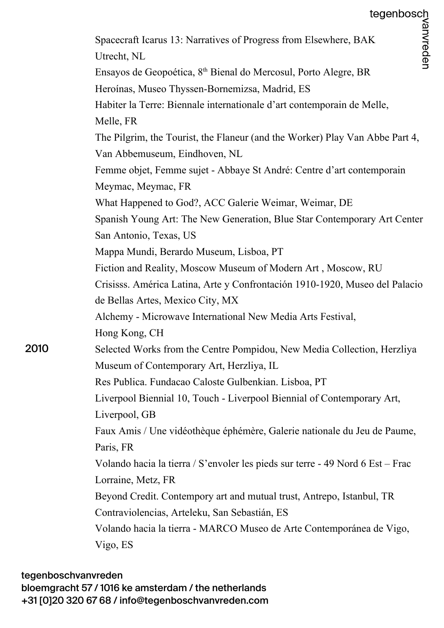|      | Spacecraft Icarus 13: Narratives of Progress from Elsewhere, BAK                                                    |
|------|---------------------------------------------------------------------------------------------------------------------|
|      | Utrecht, NL                                                                                                         |
|      | Ensayos de Geopoética, 8 <sup>th</sup> Bienal do Mercosul, Porto Alegre, BR                                         |
|      | Heroínas, Museo Thyssen-Bornemizsa, Madrid, ES                                                                      |
|      | Habiter la Terre: Biennale internationale d'art contemporain de Melle,<br>Melle, FR                                 |
|      | The Pilgrim, the Tourist, the Flaneur (and the Worker) Play Van Abbe Part 4,<br>Van Abbemuseum, Eindhoven, NL       |
|      | Femme objet, Femme sujet - Abbaye St André: Centre d'art contemporain<br>Meymac, Meymac, FR                         |
|      | What Happened to God?, ACC Galerie Weimar, Weimar, DE                                                               |
|      | Spanish Young Art: The New Generation, Blue Star Contemporary Art Center                                            |
|      | San Antonio, Texas, US                                                                                              |
|      | Mappa Mundi, Berardo Museum, Lisboa, PT                                                                             |
|      | Fiction and Reality, Moscow Museum of Modern Art, Moscow, RU                                                        |
|      | Crisisss. América Latina, Arte y Confrontación 1910-1920, Museo del Palacio                                         |
|      | de Bellas Artes, Mexico City, MX                                                                                    |
|      | Alchemy - Microwave International New Media Arts Festival,                                                          |
|      | Hong Kong, CH                                                                                                       |
| 2010 | Selected Works from the Centre Pompidou, New Media Collection, Herzliya<br>Museum of Contemporary Art, Herzliya, IL |
|      | Res Publica. Fundacao Caloste Gulbenkian. Lisboa, PT                                                                |
|      | Liverpool Biennial 10, Touch - Liverpool Biennial of Contemporary Art,                                              |
|      | Liverpool, GB                                                                                                       |
|      | Faux Amis / Une vidéothèque éphémère, Galerie nationale du Jeu de Paume,                                            |
|      | Paris, FR                                                                                                           |
|      | Volando hacia la tierra / S'envoler les pieds sur terre - 49 Nord 6 Est – Frac                                      |
|      | Lorraine, Metz, FR                                                                                                  |
|      | Beyond Credit. Contempory art and mutual trust, Antrepo, Istanbul, TR                                               |
|      | Contraviolencias, Arteleku, San Sebastián, ES                                                                       |
|      | Volando hacia la tierra - MARCO Museo de Arte Contemporánea de Vigo,                                                |
|      | Vigo, ES                                                                                                            |
|      |                                                                                                                     |

## tegenboschvanvreden

bloemgracht 57 / 1016 ke amsterdam / the netherlands +31 [0]20 320 67 68 / info@tegenboschvanvreden.com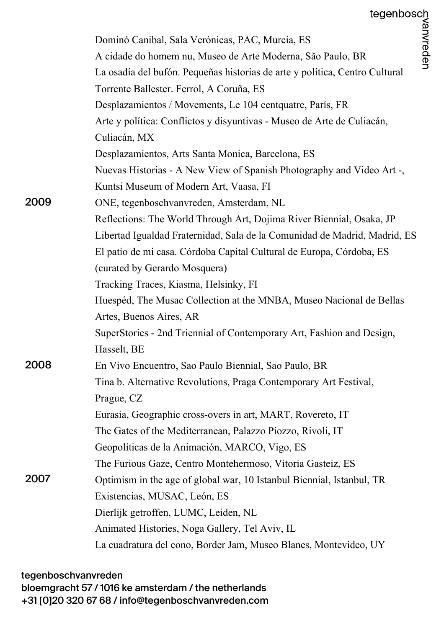|                                                                                                                         | tegenbosch |
|-------------------------------------------------------------------------------------------------------------------------|------------|
| Dominó Canibal, Sala Verónicas, PAC, Murcia, ES                                                                         | /anvreden  |
| A cidade do homem nu, Museo de Arte Moderna, São Paulo, BR                                                              |            |
| La osadía del bufón. Pequeñas historias de arte y política, Centro Cultural<br>Torrente Ballester. Ferrol, A Coruña, ES |            |
| Desplazamientos / Movements, Le 104 centquatre, París, FR                                                               |            |
| Arte y política: Conflictos y disyuntivas - Museo de Arte de Culiacán,                                                  |            |
| Culiacán, MX                                                                                                            |            |
| Desplazamientos, Arts Santa Monica, Barcelona, ES                                                                       |            |
| Nuevas Historias - A New View of Spanish Photography and Video Art -,                                                   |            |
| Kuntsi Museum of Modern Art, Vaasa, FI                                                                                  |            |
| 2009<br>ONE, tegenboschvanvreden, Amsterdam, NL                                                                         |            |
| Reflections: The World Through Art, Dojima River Biennial, Osaka, JP                                                    |            |
| Libertad Igualdad Fraternidad, Sala de la Comunidad de Madrid, Madrid, ES                                               |            |
| El patio de mi casa. Córdoba Capital Cultural de Europa, Córdoba, ES                                                    |            |
| (curated by Gerardo Mosquera)                                                                                           |            |
| Tracking Traces, Kiasma, Helsinky, FI                                                                                   |            |
| Huespéd, The Musac Collection at the MNBA, Museo Nacional de Bellas                                                     |            |
| Artes, Buenos Aires, AR                                                                                                 |            |
| SuperStories - 2nd Triennial of Contemporary Art, Fashion and Design,                                                   |            |
| Hasselt, BE                                                                                                             |            |
| 2008<br>En Vivo Encuentro, Sao Paulo Biennial, Sao Paulo, BR                                                            |            |
| Tina b. Alternative Revolutions, Praga Contemporary Art Festival,                                                       |            |
| Prague, CZ                                                                                                              |            |
| Eurasia, Geographic cross-overs in art, MART, Rovereto, IT                                                              |            |
| The Gates of the Mediterranean, Palazzo Piozzo, Rivoli, IT                                                              |            |
| Geopolíticas de la Animación, MARCO, Vigo, ES                                                                           |            |
| The Furious Gaze, Centro Montehermoso, Vitoria Gasteiz, ES                                                              |            |
| 2007<br>Optimism in the age of global war, 10 Istanbul Biennial, Istanbul, TR                                           |            |
| Existencias, MUSAC, León, ES                                                                                            |            |
| Dierlijk getroffen, LUMC, Leiden, NL                                                                                    |            |
| Animated Histories, Noga Gallery, Tel Aviv, IL                                                                          |            |
| La cuadratura del cono, Border Jam, Museo Blanes, Montevideo, UY                                                        |            |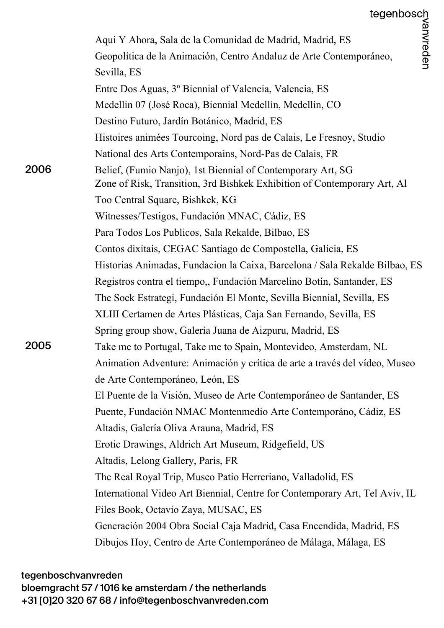|      | Aqui Y Ahora, Sala de la Comunidad de Madrid, Madrid, ES                    |
|------|-----------------------------------------------------------------------------|
|      | Geopolítica de la Animación, Centro Andaluz de Arte Contemporáneo,          |
|      | Sevilla, ES                                                                 |
|      | Entre Dos Aguas, 3º Biennial of Valencia, Valencia, ES                      |
|      | Medellin 07 (José Roca), Biennial Medellín, Medellín, CO                    |
|      | Destino Futuro, Jardín Botánico, Madrid, ES                                 |
|      | Histoires animées Tourcoing, Nord pas de Calais, Le Fresnoy, Studio         |
|      | National des Arts Contemporains, Nord-Pas de Calais, FR                     |
| 2006 | Belief, (Fumio Nanjo), 1st Biennial of Contemporary Art, SG                 |
|      | Zone of Risk, Transition, 3rd Bishkek Exhibition of Contemporary Art, Al    |
|      | Too Central Square, Bishkek, KG                                             |
|      | Witnesses/Testigos, Fundación MNAC, Cádiz, ES                               |
|      | Para Todos Los Publicos, Sala Rekalde, Bilbao, ES                           |
|      | Contos dixitais, CEGAC Santiago de Compostella, Galicia, ES                 |
|      | Historias Animadas, Fundacion la Caixa, Barcelona / Sala Rekalde Bilbao, ES |
|      | Registros contra el tiempo,, Fundación Marcelino Botín, Santander, ES       |
|      | The Sock Estrategi, Fundación El Monte, Sevilla Biennial, Sevilla, ES       |
|      | XLIII Certamen de Artes Plásticas, Caja San Fernando, Sevilla, ES           |
|      | Spring group show, Galería Juana de Aizpuru, Madrid, ES                     |
| 2005 | Take me to Portugal, Take me to Spain, Montevideo, Amsterdam, NL            |
|      | Animation Adventure: Animación y crítica de arte a través del vídeo, Museo  |
|      | de Arte Contemporáneo, León, ES                                             |
|      | El Puente de la Visión, Museo de Arte Contemporáneo de Santander, ES        |
|      | Puente, Fundación NMAC Montenmedio Arte Contemporáno, Cádiz, ES             |
|      | Altadis, Galería Oliva Arauna, Madrid, ES                                   |
|      | Erotic Drawings, Aldrich Art Museum, Ridgefield, US                         |
|      | Altadis, Lelong Gallery, Paris, FR                                          |
|      | The Real Royal Trip, Museo Patio Herreriano, Valladolid, ES                 |
|      | International Video Art Biennial, Centre for Contemporary Art, Tel Aviv, IL |
|      | Files Book, Octavio Zaya, MUSAC, ES                                         |
|      | Generación 2004 Obra Social Caja Madrid, Casa Encendida, Madrid, ES         |
|      | Dibujos Hoy, Centro de Arte Contemporáneo de Málaga, Málaga, ES             |
|      |                                                                             |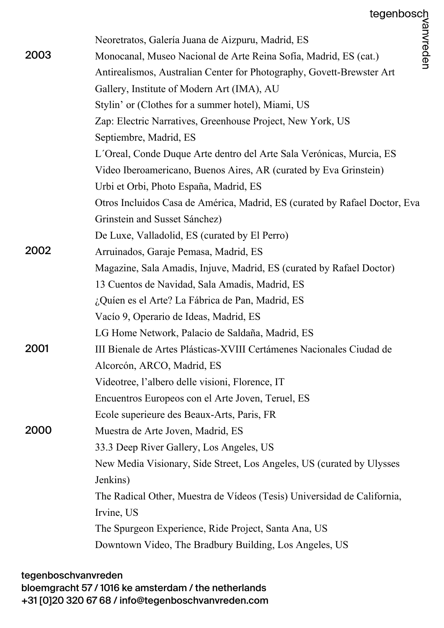|      | Neoretratos, Galería Juana de Aizpuru, Madrid, ES                          |
|------|----------------------------------------------------------------------------|
| 2003 | Monocanal, Museo Nacional de Arte Reina Sofía, Madrid, ES (cat.)           |
|      | Antirealismos, Australian Center for Photography, Govett-Brewster Art      |
|      | Gallery, Institute of Modern Art (IMA), AU                                 |
|      | Stylin' or (Clothes for a summer hotel), Miami, US                         |
|      | Zap: Electric Narratives, Greenhouse Project, New York, US                 |
|      | Septiembre, Madrid, ES                                                     |
|      | L'Oreal, Conde Duque Arte dentro del Arte Sala Verónicas, Murcia, ES       |
|      | Video Iberoamericano, Buenos Aires, AR (curated by Eva Grinstein)          |
|      | Urbi et Orbi, Photo España, Madrid, ES                                     |
|      | Otros Incluidos Casa de América, Madrid, ES (curated by Rafael Doctor, Eva |
|      | Grinstein and Susset Sánchez)                                              |
|      | De Luxe, Valladolid, ES (curated by El Perro)                              |
| 2002 | Arruinados, Garaje Pemasa, Madrid, ES                                      |
|      | Magazine, Sala Amadis, Injuve, Madrid, ES (curated by Rafael Doctor)       |
|      | 13 Cuentos de Navidad, Sala Amadis, Madrid, ES                             |
|      | ¿Quíen es el Arte? La Fábrica de Pan, Madrid, ES                           |
|      | Vacío 9, Operario de Ideas, Madrid, ES                                     |
|      | LG Home Network, Palacio de Saldaña, Madrid, ES                            |
| 2001 | III Bienale de Artes Plásticas-XVIII Certámenes Nacionales Ciudad de       |
|      | Alcorcón, ARCO, Madrid, ES                                                 |
|      | Videotree, l'albero delle visioni, Florence, IT                            |
|      | Encuentros Europeos con el Arte Joven, Teruel, ES                          |
|      | Ecole superieure des Beaux-Arts, Paris, FR                                 |
| 2000 | Muestra de Arte Joven, Madrid, ES                                          |
|      | 33.3 Deep River Gallery, Los Angeles, US                                   |
|      | New Media Visionary, Side Street, Los Angeles, US (curated by Ulysses)     |
|      | Jenkins)                                                                   |
|      | The Radical Other, Muestra de Vídeos (Tesis) Universidad de California,    |
|      | Irvine, US                                                                 |
|      | The Spurgeon Experience, Ride Project, Santa Ana, US                       |
|      | Downtown Video, The Bradbury Building, Los Angeles, US                     |
|      |                                                                            |

tegenboschvanvreden

bloemgracht 57 / 1016 ke amsterdam / the netherlands

+31 [0]20 320 67 68 / info@tegenboschvanvreden.com